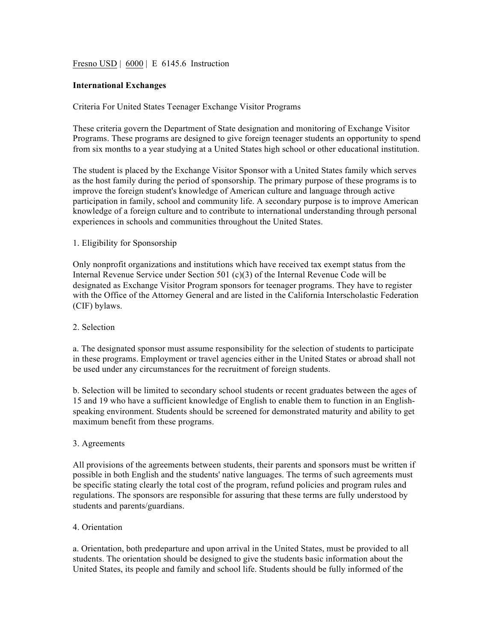## Fresno USD | 6000 | E 6145.6 Instruction

## **International Exchanges**

## Criteria For United States Teenager Exchange Visitor Programs

These criteria govern the Department of State designation and monitoring of Exchange Visitor Programs. These programs are designed to give foreign teenager students an opportunity to spend from six months to a year studying at a United States high school or other educational institution.

The student is placed by the Exchange Visitor Sponsor with a United States family which serves as the host family during the period of sponsorship. The primary purpose of these programs is to improve the foreign student's knowledge of American culture and language through active participation in family, school and community life. A secondary purpose is to improve American knowledge of a foreign culture and to contribute to international understanding through personal experiences in schools and communities throughout the United States.

## 1. Eligibility for Sponsorship

Only nonprofit organizations and institutions which have received tax exempt status from the Internal Revenue Service under Section 501 (c)(3) of the Internal Revenue Code will be designated as Exchange Visitor Program sponsors for teenager programs. They have to register with the Office of the Attorney General and are listed in the California Interscholastic Federation (CIF) bylaws.

#### 2. Selection

a. The designated sponsor must assume responsibility for the selection of students to participate in these programs. Employment or travel agencies either in the United States or abroad shall not be used under any circumstances for the recruitment of foreign students.

b. Selection will be limited to secondary school students or recent graduates between the ages of 15 and 19 who have a sufficient knowledge of English to enable them to function in an Englishspeaking environment. Students should be screened for demonstrated maturity and ability to get maximum benefit from these programs.

#### 3. Agreements

All provisions of the agreements between students, their parents and sponsors must be written if possible in both English and the students' native languages. The terms of such agreements must be specific stating clearly the total cost of the program, refund policies and program rules and regulations. The sponsors are responsible for assuring that these terms are fully understood by students and parents/guardians.

#### 4. Orientation

a. Orientation, both predeparture and upon arrival in the United States, must be provided to all students. The orientation should be designed to give the students basic information about the United States, its people and family and school life. Students should be fully informed of the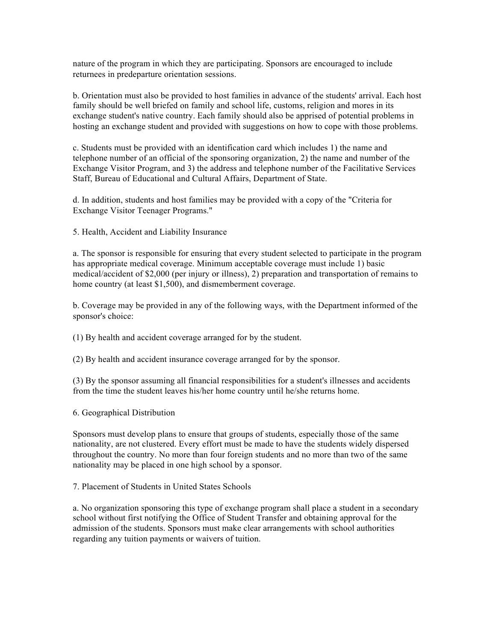nature of the program in which they are participating. Sponsors are encouraged to include returnees in predeparture orientation sessions.

b. Orientation must also be provided to host families in advance of the students' arrival. Each host family should be well briefed on family and school life, customs, religion and mores in its exchange student's native country. Each family should also be apprised of potential problems in hosting an exchange student and provided with suggestions on how to cope with those problems.

c. Students must be provided with an identification card which includes 1) the name and telephone number of an official of the sponsoring organization, 2) the name and number of the Exchange Visitor Program, and 3) the address and telephone number of the Facilitative Services Staff, Bureau of Educational and Cultural Affairs, Department of State.

d. In addition, students and host families may be provided with a copy of the "Criteria for Exchange Visitor Teenager Programs."

5. Health, Accident and Liability Insurance

a. The sponsor is responsible for ensuring that every student selected to participate in the program has appropriate medical coverage. Minimum acceptable coverage must include 1) basic medical/accident of \$2,000 (per injury or illness), 2) preparation and transportation of remains to home country (at least \$1,500), and dismemberment coverage.

b. Coverage may be provided in any of the following ways, with the Department informed of the sponsor's choice:

(1) By health and accident coverage arranged for by the student.

(2) By health and accident insurance coverage arranged for by the sponsor.

(3) By the sponsor assuming all financial responsibilities for a student's illnesses and accidents from the time the student leaves his/her home country until he/she returns home.

6. Geographical Distribution

Sponsors must develop plans to ensure that groups of students, especially those of the same nationality, are not clustered. Every effort must be made to have the students widely dispersed throughout the country. No more than four foreign students and no more than two of the same nationality may be placed in one high school by a sponsor.

7. Placement of Students in United States Schools

a. No organization sponsoring this type of exchange program shall place a student in a secondary school without first notifying the Office of Student Transfer and obtaining approval for the admission of the students. Sponsors must make clear arrangements with school authorities regarding any tuition payments or waivers of tuition.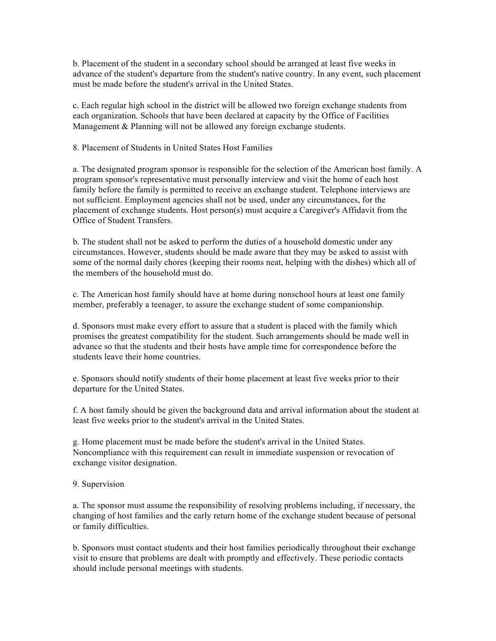b. Placement of the student in a secondary school should be arranged at least five weeks in advance of the student's departure from the student's native country. In any event, such placement must be made before the student's arrival in the United States.

c. Each regular high school in the district will be allowed two foreign exchange students from each organization. Schools that have been declared at capacity by the Office of Facilities Management & Planning will not be allowed any foreign exchange students.

8. Placement of Students in United States Host Families

a. The designated program sponsor is responsible for the selection of the American host family. A program sponsor's representative must personally interview and visit the home of each host family before the family is permitted to receive an exchange student. Telephone interviews are not sufficient. Employment agencies shall not be used, under any circumstances, for the placement of exchange students. Host person(s) must acquire a Caregiver's Affidavit from the Office of Student Transfers.

b. The student shall not be asked to perform the duties of a household domestic under any circumstances. However, students should be made aware that they may be asked to assist with some of the normal daily chores (keeping their rooms neat, helping with the dishes) which all of the members of the household must do.

c. The American host family should have at home during nonschool hours at least one family member, preferably a teenager, to assure the exchange student of some companionship.

d. Sponsors must make every effort to assure that a student is placed with the family which promises the greatest compatibility for the student. Such arrangements should be made well in advance so that the students and their hosts have ample time for correspondence before the students leave their home countries.

e. Sponsors should notify students of their home placement at least five weeks prior to their departure for the United States.

f. A host family should be given the background data and arrival information about the student at least five weeks prior to the student's arrival in the United States.

g. Home placement must be made before the student's arrival in the United States. Noncompliance with this requirement can result in immediate suspension or revocation of exchange visitor designation.

9. Supervision

a. The sponsor must assume the responsibility of resolving problems including, if necessary, the changing of host families and the early return home of the exchange student because of personal or family difficulties.

b. Sponsors must contact students and their host families periodically throughout their exchange visit to ensure that problems are dealt with promptly and effectively. These periodic contacts should include personal meetings with students.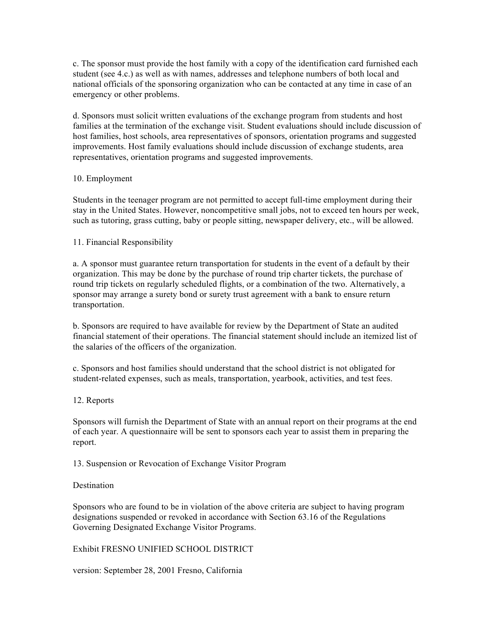c. The sponsor must provide the host family with a copy of the identification card furnished each student (see 4.c.) as well as with names, addresses and telephone numbers of both local and national officials of the sponsoring organization who can be contacted at any time in case of an emergency or other problems.

d. Sponsors must solicit written evaluations of the exchange program from students and host families at the termination of the exchange visit. Student evaluations should include discussion of host families, host schools, area representatives of sponsors, orientation programs and suggested improvements. Host family evaluations should include discussion of exchange students, area representatives, orientation programs and suggested improvements.

## 10. Employment

Students in the teenager program are not permitted to accept full-time employment during their stay in the United States. However, noncompetitive small jobs, not to exceed ten hours per week, such as tutoring, grass cutting, baby or people sitting, newspaper delivery, etc., will be allowed.

## 11. Financial Responsibility

a. A sponsor must guarantee return transportation for students in the event of a default by their organization. This may be done by the purchase of round trip charter tickets, the purchase of round trip tickets on regularly scheduled flights, or a combination of the two. Alternatively, a sponsor may arrange a surety bond or surety trust agreement with a bank to ensure return transportation.

b. Sponsors are required to have available for review by the Department of State an audited financial statement of their operations. The financial statement should include an itemized list of the salaries of the officers of the organization.

c. Sponsors and host families should understand that the school district is not obligated for student-related expenses, such as meals, transportation, yearbook, activities, and test fees.

# 12. Reports

Sponsors will furnish the Department of State with an annual report on their programs at the end of each year. A questionnaire will be sent to sponsors each year to assist them in preparing the report.

13. Suspension or Revocation of Exchange Visitor Program

#### Destination

Sponsors who are found to be in violation of the above criteria are subject to having program designations suspended or revoked in accordance with Section 63.16 of the Regulations Governing Designated Exchange Visitor Programs.

# Exhibit FRESNO UNIFIED SCHOOL DISTRICT

version: September 28, 2001 Fresno, California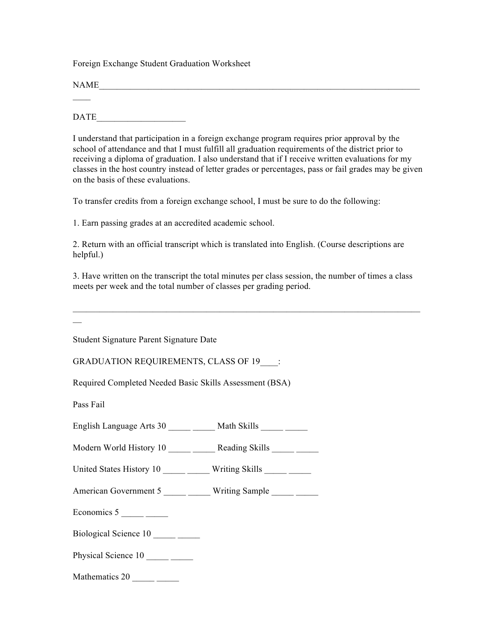Foreign Exchange Student Graduation Worksheet

 $NAME$  $\overline{\phantom{a}}$ 

DATE

I understand that participation in a foreign exchange program requires prior approval by the school of attendance and that I must fulfill all graduation requirements of the district prior to receiving a diploma of graduation. I also understand that if I receive written evaluations for my classes in the host country instead of letter grades or percentages, pass or fail grades may be given on the basis of these evaluations.

To transfer credits from a foreign exchange school, I must be sure to do the following:

1. Earn passing grades at an accredited academic school.

2. Return with an official transcript which is translated into English. (Course descriptions are helpful.)

3. Have written on the transcript the total minutes per class session, the number of times a class meets per week and the total number of classes per grading period.

 $\overline{\phantom{a}}$ 

Student Signature Parent Signature Date

GRADUATION REQUIREMENTS, CLASS OF 19\_\_\_\_:

Required Completed Needed Basic Skills Assessment (BSA)

Pass Fail

English Language Arts 30 \_\_\_\_\_\_ Math Skills

Modern World History 10 \_\_\_\_\_ \_\_\_\_\_ Reading Skills \_\_\_\_\_ \_\_\_\_

United States History 10 \_\_\_\_\_ \_\_\_\_\_ Writing Skills \_\_\_\_\_ \_\_\_\_

American Government 5 \_\_\_\_\_\_ Writing Sample \_\_\_\_\_

Economics 5

Biological Science 10 \_\_\_\_\_ \_\_\_\_

Physical Science 10 \_\_\_\_\_\_\_

Mathematics  $20 \_$